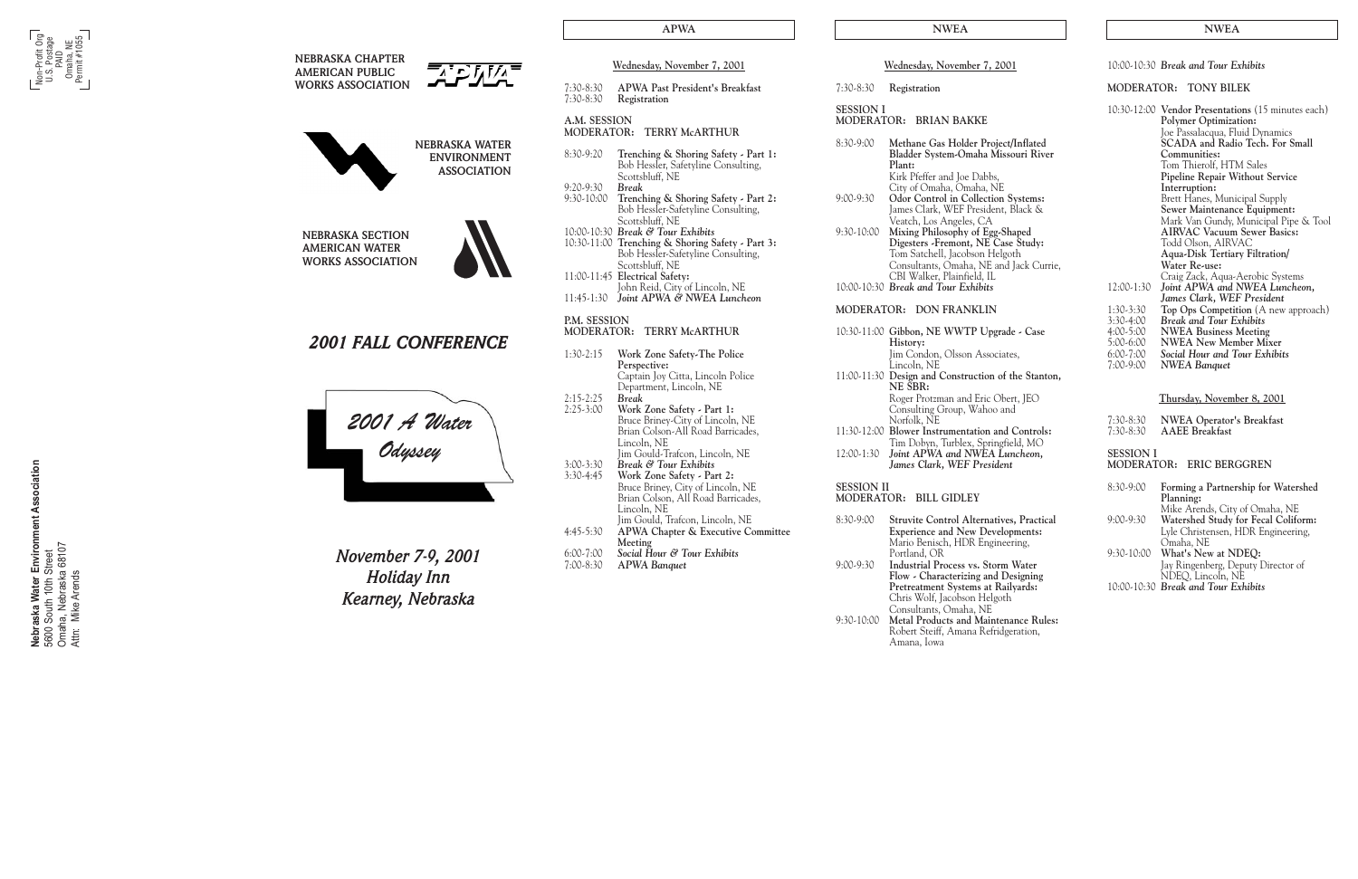|                              | Wednesday, November 7, 2001                                                                                                                    |
|------------------------------|------------------------------------------------------------------------------------------------------------------------------------------------|
| $7:30-8:30$<br>7:30-8:30     | <b>APWA Past President's Breakfast</b><br>Registration                                                                                         |
| A.M. SESSION<br>MODERATOR:   | <b>TERRY McARTHUR</b>                                                                                                                          |
| 8:30-9:20                    | Trenching & Shoring Safety - Part 1:<br>Bob Hessler, Safetyline Consulting,<br>Scottsbluff, NE                                                 |
| 9:20-9:30<br>$9:30-10:00$    | Break<br>Trenching & Shoring Safety - Part 2:<br>Bob Hessler-Safetyline Consulting,                                                            |
|                              | Scottsbluff, NE<br>10:00-10:30 Break & Tour Exhibits<br>10:30-11:00 Trenching & Shoring Safety - Part 3:<br>Bob Hessler-Safetyline Consulting, |
|                              | Scottsbluff, NE<br>11:00-11:45 Electrical Safety:                                                                                              |
| 11:45-1:30                   | John Reid, City of Lincoln, NE<br>Joint APWA & NWEA Luncheon                                                                                   |
| P.M. SESSION<br>MODERATOR:   | <b>TERRY McARTHUR</b>                                                                                                                          |
| $1:30-2:15$                  | Work Zone Safety-The Police                                                                                                                    |
| $2:15-2:25$                  | Perspective:<br>Captain Joy Citta, Lincoln Police<br>Department, Lincoln, NE<br>Break                                                          |
| $2:25-3:00$                  | Work Zone Safety - Part 1:<br>Bruce Briney-City of Lincoln, NE<br>Brian Colson-All Road Barricades,                                            |
| $3:00 - 3:30$<br>$3:30-4:45$ | Lincoln, NE<br>Jim Gould-Trafcon, Lincoln, NE<br>Break & Tour Exhibits<br>Work Zone Safety - Part 2:<br>Bruce Briney, City of Lincoln, NE      |
| $4:45-5:30$                  | Brian Colson, All Road Barricades,<br>Lincoln, NE<br>Jim Gould, Trafcon, Lincoln, NE<br><b>APWA Chapter &amp; Executive Committee</b>          |
|                              | Meeting                                                                                                                                        |

| 8:30-9:00     | Methane Gas Holder Project/Inflated<br>Bladder System-Omaha Missouri River<br>Plant:<br>Kirk Pfeffer and Joe Dabbs,<br>City of Omaha, Omaha, NE                                                                          |
|---------------|--------------------------------------------------------------------------------------------------------------------------------------------------------------------------------------------------------------------------|
| $9:00 - 9:30$ | Odor Control in Collection Systems:<br>James Clark, WEF President, Black &<br>Veatch, Los Angeles, CA                                                                                                                    |
| 9:30-10:00    | Mixing Philosophy of Egg-Shaped<br>Digesters - Fremont, NE Case Study:<br>Tom Satchell, Jacobson Helgoth<br>Consultants, Omaha, NE and Jack Currie,<br>CBI Walker, Plainfield, IL<br>10:00-10:30 Break and Tour Exhibits |
|               | MODERATOR: DON FRANKLIN                                                                                                                                                                                                  |
|               | 10:30-11:00 Gibbon, NE WWTP Upgrade - Case<br>History:<br>lim Condon, Olsson Associates,<br>Lincoln, NE                                                                                                                  |
|               | 11:00-11:30 Design and Construction of the Stanton,                                                                                                                                                                      |

7:00-8:30 **A***PWA Banquet*

| $8:30-9:00$   | <b>Struvite Control Alternatives, Practical</b><br><b>Experience and New Developments:</b>          |
|---------------|-----------------------------------------------------------------------------------------------------|
|               | Mario Benisch, HDR Engineering,<br>Portland, OR                                                     |
| $9:00 - 9:30$ | <b>Industrial Process vs. Storm Water</b><br>Flow - Characterizing and Designing                    |
|               | Pretreatment Systems at Railyards:<br>Chris Wolf, Jacobson Helgoth<br>Consultants, Omaha, NE        |
| $9:30-10:00$  | <b>Metal Products and Maintenance Rules:</b><br>Robert Steiff, Amana Refridgeration,<br>Amana, Iowa |
|               |                                                                                                     |

**Nebraska Water Environment Association**<br>5600 South 10th Street<br>Omaha, Nebraska 68107<br>Attn: Mike Arends **Nebraska Water Environment Association** Omaha, Nebraska 68107 5600 South 10th Street Attn: Mike Arends

|            | Roger Protzman and Eric Obert, JEO               |
|------------|--------------------------------------------------|
|            | Consulting Group, Wahoo and                      |
|            | Norfolk, NE                                      |
|            | 11:30-12:00 Blower Instrumentation and Controls: |
|            | Tim Dobyn, Turblex, Springfield, MO              |
| 12:00-1:30 | Joint APWA and NWEA Luncheon,                    |
|            | James Clark, WEF President                       |
|            |                                                  |

| <b>SESSION II</b><br>MODERATOR: BILL GIDLEY |  |
|---------------------------------------------|--|
|                                             |  |

| APWA                                                                                     |                   | <b>NWEA</b>                                                                                                                                                                      |                            | <b>NWEA</b>                                                                                                                                      |
|------------------------------------------------------------------------------------------|-------------------|----------------------------------------------------------------------------------------------------------------------------------------------------------------------------------|----------------------------|--------------------------------------------------------------------------------------------------------------------------------------------------|
| November 7, 2001                                                                         |                   | Wednesday, November 7, 2001                                                                                                                                                      |                            | 10:00-10:30 Break and Tour Exhibits                                                                                                              |
| st President's Breakfast                                                                 | $7:30-8:30$       | Registration                                                                                                                                                                     |                            | MODERATOR: TONY BILEK                                                                                                                            |
| 'n                                                                                       | <b>SESSION I</b>  | MODERATOR: BRIAN BAKKE                                                                                                                                                           |                            | 10:30-12:00 Vendor Presentations (15 minutes each)<br><b>Polymer Optimization:</b>                                                               |
| <b>RY McARTHUR</b><br>& Shoring Safety - Part 1:<br>r, Safetyline Consulting,<br>NE,     | $8:30-9:00$       | Methane Gas Holder Project/Inflated<br>Bladder System-Omaha Missouri River<br>Plant:<br>Kirk Pfeffer and Joe Dabbs,                                                              |                            | Joe Passalacqua, Fluid Dynamics<br>SCADA and Radio Tech. For Small<br>Communities:<br>Tom Thierolf, HTM Sales<br>Pipeline Repair Without Service |
| & Shoring Safety - Part 2:<br>r-Safetyline Consulting,<br>NE,                            | 9:00-9:30         | City of Omaha, Omaha, NE<br>Odor Control in Collection Systems:<br>James Clark, WEF President, Black &<br>Veatch, Los Angeles, CA                                                |                            | Interruption:<br>Brett Hanes, Municipal Supply<br>Sewer Maintenance Equipment:<br>Mark Van Gundy, Municipal Pipe & Tool                          |
| our Exhibits<br>& Shoring Safety - Part 3:<br>r-Safetyline Consulting,<br>NE,<br>Safety: | 9:30-10:00        | Mixing Philosophy of Egg-Shaped<br>Digesters -Fremont, NE Case Study:<br>Tom Satchell, Jacobson Helgoth<br>Consultants, Omaha, NE and Jack Currie,<br>CBI Walker, Plainfield, IL |                            | <b>AIRVAC Vacuum Sewer Basics:</b><br>Todd Olson, AIRVAC<br>Aqua-Disk Tertiary Filtration/<br>Water Re-use:<br>Craig Zack, Aqua-Aerobic Systems  |
| City of Lincoln, NE<br>'A & NWEA Luncheon                                                |                   | 10:00-10:30 Break and Tour Exhibits                                                                                                                                              | 12:00-1:30                 | Joint APWA and NWEA Luncheon,<br>James Clark, WEF President                                                                                      |
|                                                                                          |                   | MODERATOR: DON FRANKLIN                                                                                                                                                          | 1:30-3:30<br>3:30-4:00     | Top Ops Competition (A new approach)<br><b>Break and Tour Exhibits</b>                                                                           |
| RY McARTHUR                                                                              |                   | 10:30-11:00 Gibbon, NE WWTP Upgrade - Case<br>History:                                                                                                                           | 4:00-5:00<br>5:00-6:00     | <b>NWEA Business Meeting</b><br><b>NWEA</b> New Member Mixer                                                                                     |
| e Safety-The Police                                                                      |                   | Jim Condon, Olsson Associates,<br>Lincoln, NE                                                                                                                                    | $6:00 - 7:00$<br>7:00-9:00 | Social Hour and Tour Exhibits<br><b>NWEA Banquet</b>                                                                                             |
| y Citta, Lincoln Police<br>t, Lincoln, NE                                                |                   | 11:00-11:30 Design and Construction of the Stanton,<br>NE SBR:<br>Roger Protzman and Eric Obert, JEO                                                                             |                            | Thursday, November 8, 2001                                                                                                                       |
| e Safety - Part 1:<br>ey-City of Lincoln, NE                                             |                   | Consulting Group, Wahoo and<br>Norfolk, NE                                                                                                                                       | 7:30-8:30                  | <b>NWEA Operator's Breakfast</b>                                                                                                                 |
| on-All Road Barricades,                                                                  |                   | 11:30-12:00 Blower Instrumentation and Controls:<br>Tim Dobyn, Turblex, Springfield, MO                                                                                          | $7:30-8:30$                | <b>AAEE</b> Breakfast                                                                                                                            |
| Trafcon, Lincoln, NE<br>our Exhibits<br>e Safety - Part 2:                               |                   | 12:00-1:30 Joint APWA and NWEA Luncheon,<br>James Clark, WEF President                                                                                                           | <b>SESSION I</b>           | MODERATOR: ERIC BERGGREN                                                                                                                         |
| ey, City of Lincoln, NE<br>on, All Road Barricades,                                      | <b>SESSION II</b> | MODERATOR: BILL GIDLEY                                                                                                                                                           | 8:30-9:00                  | Forming a Partnership for Watershed<br>Planning:<br>Mike Arends, City of Omaha, NE                                                               |
| Trafcon, Lincoln, NE<br>apter & Executive Committee                                      | 8:30-9:00         | <b>Struvite Control Alternatives, Practical</b><br><b>Experience and New Developments:</b><br>Mario Benisch, HDR Engineering,                                                    | 9:00-9:30                  | Watershed Study for Fecal Coliform:<br>Lyle Christensen, HDR Engineering,<br>Omaha, NE                                                           |
| r & Tour Exhibits<br>nquet                                                               | $9:00 - 9:30$     | Portland, OR<br><b>Industrial Process vs. Storm Water</b><br>Flow - Characterizing and Designing                                                                                 | 9:30-10:00                 | What's New at NDEQ:<br>Jay Ringenberg, Deputy Director of<br>NDEQ, Lincoln, NE                                                                   |
|                                                                                          |                   | Pretreatment Systems at Railyards:<br>Chris Wolf, Jacobson Helgoth                                                                                                               |                            | 10:00-10:30 Break and Tour Exhibits                                                                                                              |

| <b>NEBRASKA CHAPTER</b><br><b>AMERICAN PUBLIC</b>                            |                                          | Wednesday, November 7, 200                                                                                                                                            |
|------------------------------------------------------------------------------|------------------------------------------|-----------------------------------------------------------------------------------------------------------------------------------------------------------------------|
| <b>WORKS ASSOCIATION</b>                                                     | $7:30-8:30$<br>$7:30-8:30$               | <b>APWA Past President's Brea</b><br>Registration                                                                                                                     |
|                                                                              | A.M. SESSION<br><b>MODERATOR:</b>        | <b>TERRY McARTHUR</b>                                                                                                                                                 |
| <b>NEBRASKA WATER</b><br><b>ENVIRONMENT</b><br><b>ASSOCIATION</b>            | 8:30-9:20                                | Trenching & Shoring Safety<br>Bob Hessler, Safetyline Consu                                                                                                           |
|                                                                              | 9:20-9:30<br>9:30-10:00                  | Scottsbluff, NE<br><b>Break</b><br>Trenching & Shoring Safety<br>Bob Hessler-Safetyline Consu                                                                         |
| <b>NEBRASKA SECTION</b><br><b>AMERICAN WATER</b><br><b>WORKS ASSOCIATION</b> |                                          | Scottsbluff, NE<br>10:00-10:30 Break & Tour Exhibits<br>10:30-11:00 Trenching & Shoring Safety<br>Bob Hessler-Safetyline Consu                                        |
|                                                                              |                                          | Scottsbluff, NE<br>11:00-11:45 Electrical Safety:                                                                                                                     |
|                                                                              |                                          | John Reid, City of Lincoln, N<br>11:45-1:30 Joint APWA & NWEA Lune                                                                                                    |
|                                                                              | <b>P.M. SESSION</b><br><b>MODERATOR:</b> | <b>TERRY McARTHUR</b>                                                                                                                                                 |
| <b>2001 FALL CONFERENCE</b>                                                  | $1:30-2:15$                              | Work Zone Safety-The Polic<br>Perspective:<br>Captain Joy Citta, Lincoln Po                                                                                           |
| 2001 A Water<br><del>-</del> Odyssey                                         | $2:15-2:25$<br>$2:25-3:00$               | Department, Lincoln, NE<br><b>Break</b><br>Work Zone Safety - Part 1:<br>Bruce Briney-City of Lincoln,<br>Brian Colson-All Road Barric                                |
|                                                                              | $3:00 - 3:30$<br>3:30-4:45               | Lincoln, NE<br>Jim Gould-Trafcon, Lincoln, 1<br>Break & Tour Exhibits<br>Work Zone Safety - Part 2:<br>Bruce Briney, City of Lincoln<br>Brian Colson, All Road Barrio |
|                                                                              | $4:45-5:30$                              | Lincoln, NE<br>Jim Gould, Trafcon, Lincoln,<br><b>APWA Chapter &amp; Executive</b><br>Meeting                                                                         |
| $M$ $\alpha\nu$ omhor $7.0$ 2001                                             | $6:00 - 7:00$                            | Social Hour & Tour Exhibits                                                                                                                                           |



*November 7-9, 2001 Holiday Inn Kearney, Nebraska*